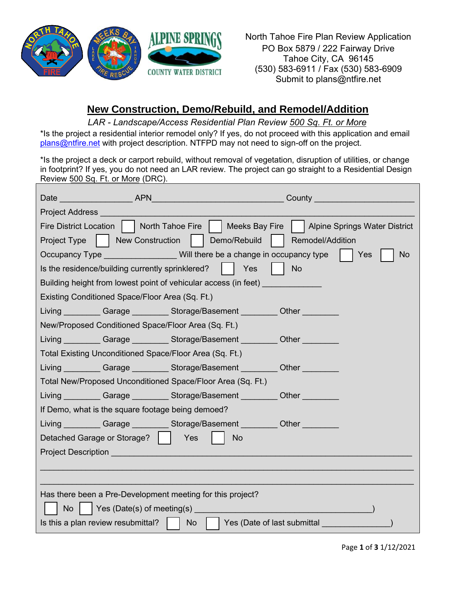

North Tahoe Fire Plan Review Application PO Box 5879 / 222 Fairway Drive Tahoe City, CA 96145 (530) 583-6911 / Fax (530) 583-6909 Submit to plans@ntfire.net

## **New Construction, Demo/Rebuild, and Remodel/Addition**

*LAR - Landscape/Access Residential Plan Review 500 Sq. Ft. or More* 

\*Is the project a residential interior remodel only? If yes, do not proceed with this application and email [plans@ntfire.net](mailto:plans@ntfire.net) with project description. NTFPD may not need to sign-off on the project.

\*Is the project a deck or carport rebuild, without removal of vegetation, disruption of utilities, or change in footprint? If yes, you do not need an LAR review. The project can go straight to a Residential Design Review 500 Sq. Ft. or More (DRC).

| Date and the contract of the contract of the contract of the contract of the contract of the contract of the contract of the contract of the contract of the contract of the contract of the contract of the contract of the c | <b>APN</b>                                                                                                              | County                               |  |
|--------------------------------------------------------------------------------------------------------------------------------------------------------------------------------------------------------------------------------|-------------------------------------------------------------------------------------------------------------------------|--------------------------------------|--|
| <b>Project Address</b>                                                                                                                                                                                                         |                                                                                                                         |                                      |  |
| <b>Fire District Location</b>                                                                                                                                                                                                  | North Tahoe Fire<br>Meeks Bay Fire                                                                                      | <b>Alpine Springs Water District</b> |  |
| Project Type                                                                                                                                                                                                                   | New Construction<br>Demo/Rebuild                                                                                        | Remodel/Addition                     |  |
|                                                                                                                                                                                                                                | Occupancy Type ________________Will there be a change in occupancy type                                                 | Yes<br><b>No</b>                     |  |
| Is the residence/building currently sprinklered?<br>Yes<br><b>No</b>                                                                                                                                                           |                                                                                                                         |                                      |  |
| Building height from lowest point of vehicular access (in feet)                                                                                                                                                                |                                                                                                                         |                                      |  |
| Existing Conditioned Space/Floor Area (Sq. Ft.)                                                                                                                                                                                |                                                                                                                         |                                      |  |
|                                                                                                                                                                                                                                | Living Garage Storage/Basement Cher Cher                                                                                |                                      |  |
| New/Proposed Conditioned Space/Floor Area (Sq. Ft.)                                                                                                                                                                            |                                                                                                                         |                                      |  |
|                                                                                                                                                                                                                                | Living Garage Storage/Basement Cher Cher                                                                                |                                      |  |
|                                                                                                                                                                                                                                | Total Existing Unconditioned Space/Floor Area (Sq. Ft.)                                                                 |                                      |  |
|                                                                                                                                                                                                                                | Living _________ Garage _________ Storage/Basement _________ Other ________                                             |                                      |  |
|                                                                                                                                                                                                                                | Total New/Proposed Unconditioned Space/Floor Area (Sq. Ft.)                                                             |                                      |  |
|                                                                                                                                                                                                                                | Living Garage Storage/Basement Other                                                                                    |                                      |  |
| If Demo, what is the square footage being demoed?                                                                                                                                                                              |                                                                                                                         |                                      |  |
|                                                                                                                                                                                                                                | Living Carage Storage/Basement Other                                                                                    |                                      |  |
| Detached Garage or Storage?                                                                                                                                                                                                    | Yes<br><b>No</b>                                                                                                        |                                      |  |
| <b>Project Description</b>                                                                                                                                                                                                     |                                                                                                                         |                                      |  |
|                                                                                                                                                                                                                                |                                                                                                                         |                                      |  |
|                                                                                                                                                                                                                                |                                                                                                                         |                                      |  |
| Has there been a Pre-Development meeting for this project?                                                                                                                                                                     |                                                                                                                         |                                      |  |
| <b>No</b>                                                                                                                                                                                                                      | Yes (Date(s) of meeting(s) <b>Solution</b> Manual Manual Manual Manual Manual Manual Manual Manual Manual Manual Manual |                                      |  |
| Is this a plan review resubmittal? $\vert \vert$                                                                                                                                                                               | Yes (Date of last submittal<br><b>No</b>                                                                                |                                      |  |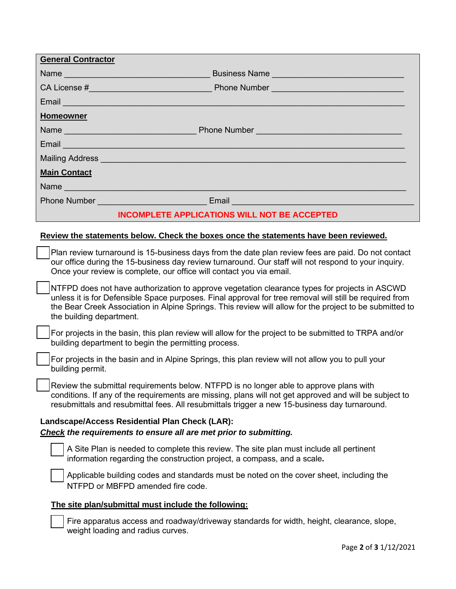| <b>General Contractor</b>                                                                                                                                                                                                                                                                                                                       |  |  |
|-------------------------------------------------------------------------------------------------------------------------------------------------------------------------------------------------------------------------------------------------------------------------------------------------------------------------------------------------|--|--|
|                                                                                                                                                                                                                                                                                                                                                 |  |  |
|                                                                                                                                                                                                                                                                                                                                                 |  |  |
| Email <u>Communication of the Communication</u>                                                                                                                                                                                                                                                                                                 |  |  |
| <b>Homeowner</b>                                                                                                                                                                                                                                                                                                                                |  |  |
|                                                                                                                                                                                                                                                                                                                                                 |  |  |
| Email <b>Experience of the Contract of the Contract of the Contract of the Contract of the Contract of the Contract of the Contract of the Contract of the Contract of the Contract of the Contract of the Contract of the Contr</b>                                                                                                            |  |  |
| Mailing Address <b>Commission Commission Commission</b> Commission Commission                                                                                                                                                                                                                                                                   |  |  |
| <b>Main Contact</b>                                                                                                                                                                                                                                                                                                                             |  |  |
|                                                                                                                                                                                                                                                                                                                                                 |  |  |
|                                                                                                                                                                                                                                                                                                                                                 |  |  |
| <b>INCOMPLETE APPLICATIONS WILL NOT BE ACCEPTED</b>                                                                                                                                                                                                                                                                                             |  |  |
| Review the statements below. Check the boxes once the statements have been reviewed.                                                                                                                                                                                                                                                            |  |  |
| Plan review turnaround is 15-business days from the date plan review fees are paid. Do not contact<br>our office during the 15-business day review turnaround. Our staff will not respond to your inquiry.<br>Once your review is complete, our office will contact you via email.                                                              |  |  |
| NTFPD does not have authorization to approve vegetation clearance types for projects in ASCWD<br>unless it is for Defensible Space purposes. Final approval for tree removal will still be required from<br>the Bear Creek Association in Alpine Springs. This review will allow for the project to be submitted to<br>the building department. |  |  |
| For projects in the basin, this plan review will allow for the project to be submitted to TRPA and/or<br>building department to begin the permitting process.                                                                                                                                                                                   |  |  |

For projects in the basin and in Alpine Springs, this plan review will not allow you to pull your building permit.

Review the submittal requirements below. NTFPD is no longer able to approve plans with conditions. If any of the requirements are missing, plans will not get approved and will be subject to resubmittals and resubmittal fees. All resubmittals trigger a new 15-business day turnaround.

## **Landscape/Access Residential Plan Check (LAR):** *Check the requirements to ensure all are met prior to submitting.*

A Site Plan is needed to complete this review. The site plan must include all pertinent information regarding the construction project, a compass, and a scale**.** 

Applicable building codes and standards must be noted on the cover sheet, including the NTFPD or MBFPD amended fire code.

## **The site plan/submittal must include the following:**

Fire apparatus access and roadway/driveway standards for width, height, clearance, slope, weight loading and radius curves.